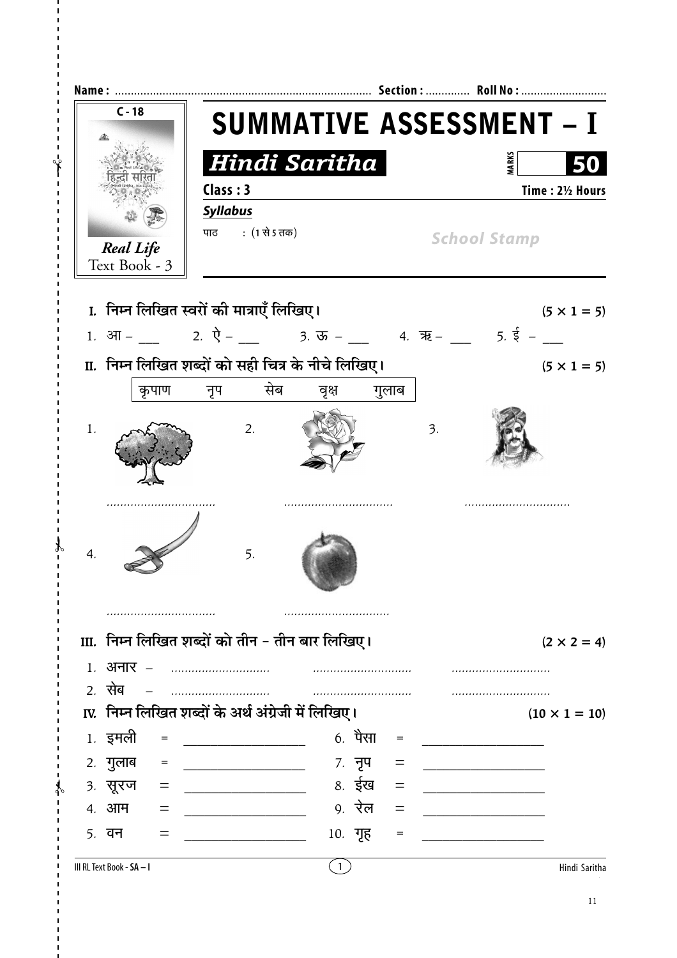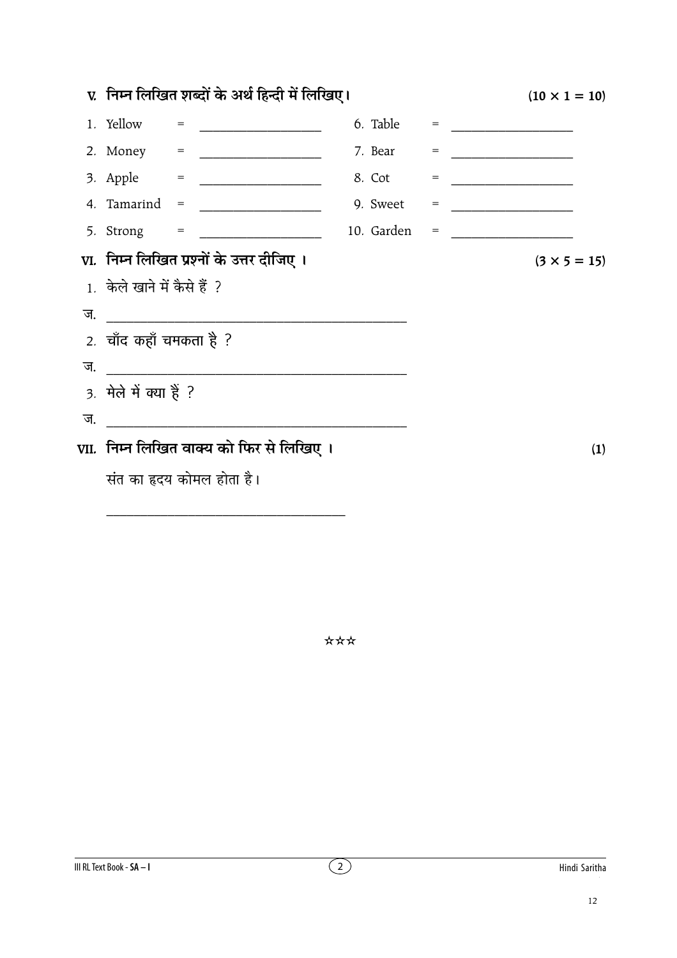|    | v. निम्न लिखित शब्दों के अर्थ हिन्दी में लिखिए। | $(10 \times 1 = 10)$                               |            |     |                                                                                                                     |
|----|-------------------------------------------------|----------------------------------------------------|------------|-----|---------------------------------------------------------------------------------------------------------------------|
|    | 1. Yellow                                       | $=$<br><u> 1980 - Johann Barn, mars ann an t-A</u> | 6. Table   |     |                                                                                                                     |
|    |                                                 |                                                    | 7. Bear    | $=$ |                                                                                                                     |
|    |                                                 |                                                    | 8. Cot     | $=$ |                                                                                                                     |
|    |                                                 | 4. Tamarind = $\frac{1}{2}$                        | 9. Sweet   | $=$ | <u> 1990 - John Harry Harry Harry Harry Harry Harry Harry Harry Harry Harry Harry Harry Harry Harry Harry Harry</u> |
|    |                                                 |                                                    | 10. Garden |     | $\qquad \qquad =\qquad \qquad$                                                                                      |
|    |                                                 | VI. निम्न लिखित प्रश्नों के उत्तर दीजिए ।          |            |     | $(3 \times 5 = 15)$                                                                                                 |
|    | 1. केले खाने में कैसे हैं ?                     |                                                    |            |     |                                                                                                                     |
| ज. |                                                 |                                                    |            |     |                                                                                                                     |
|    | 2. चाँद कहाँ चमकता है ?                         |                                                    |            |     |                                                                                                                     |
| ज. |                                                 |                                                    |            |     |                                                                                                                     |
|    | 3. मेले में क्या हैं ?                          |                                                    |            |     |                                                                                                                     |
| ज. |                                                 |                                                    |            |     |                                                                                                                     |
|    |                                                 | VII.  निम्न लिखित वाक्य को फिर से लिखिए ।          |            | (1) |                                                                                                                     |
|    |                                                 | संत का हृदय कोमल होता है।                          |            |     |                                                                                                                     |

\*\*\*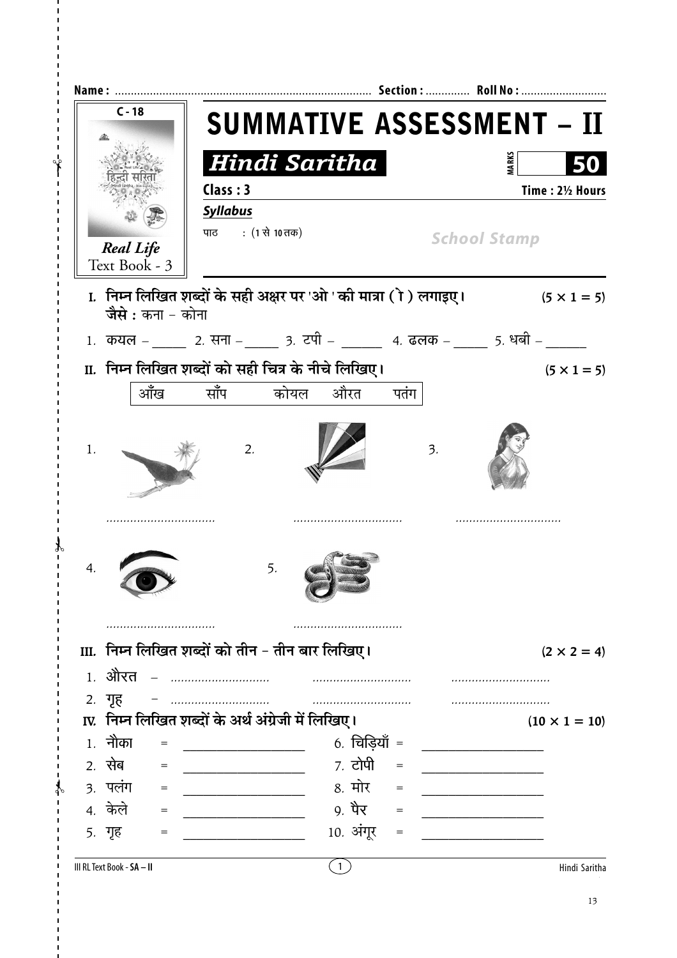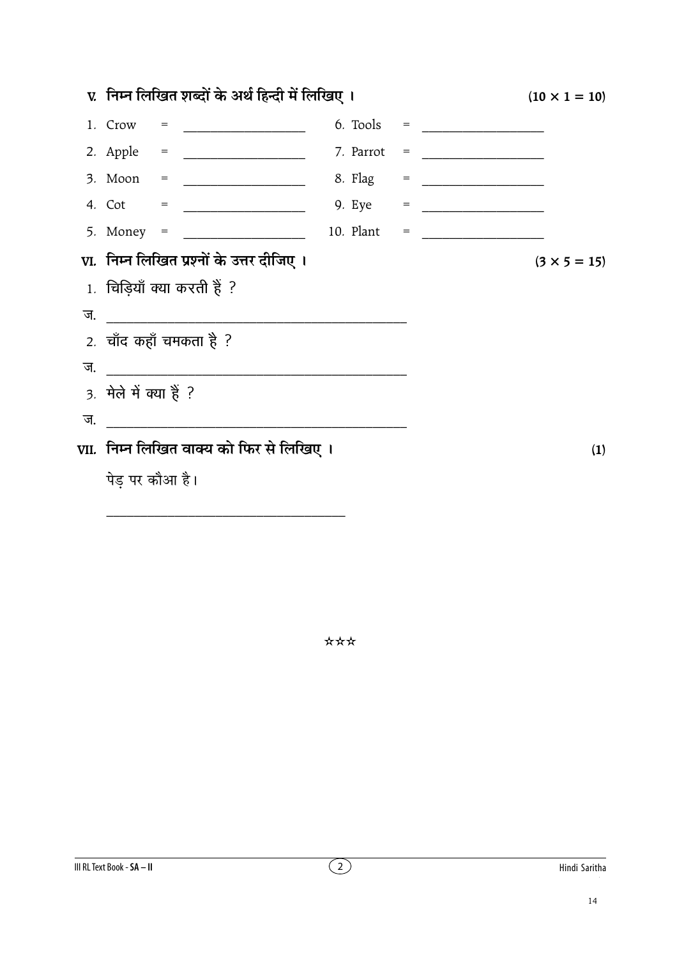|    | v.  निम्न लिखित शब्दों के अर्थ हिन्दी में लिखिए ।  | $(10 \times 1 = 10)$ |
|----|----------------------------------------------------|----------------------|
|    |                                                    |                      |
|    |                                                    |                      |
|    |                                                    |                      |
|    |                                                    |                      |
|    |                                                    |                      |
|    | VI. निम्न लिखित प्रश्नों के उत्तर दीजिए ।          | $(3 \times 5 = 15)$  |
|    | 1. चिड़ियाँ क्या करती हैं ?                        |                      |
|    |                                                    |                      |
|    | 2. चाँद कहाँ चमकता है ?                            |                      |
| ज. | <u> 1980 - John Stein, Amerikaansk politiker (</u> |                      |
|    | 3. मेले में क्या हैं ?                             |                      |
| ज. |                                                    |                      |
|    | VII.  निम्न लिखित वाक्य को फिर से लिखिए ।          | (1)                  |
|    | पेड़ पर कौआ है।                                    |                      |
|    |                                                    |                      |

\*\*\*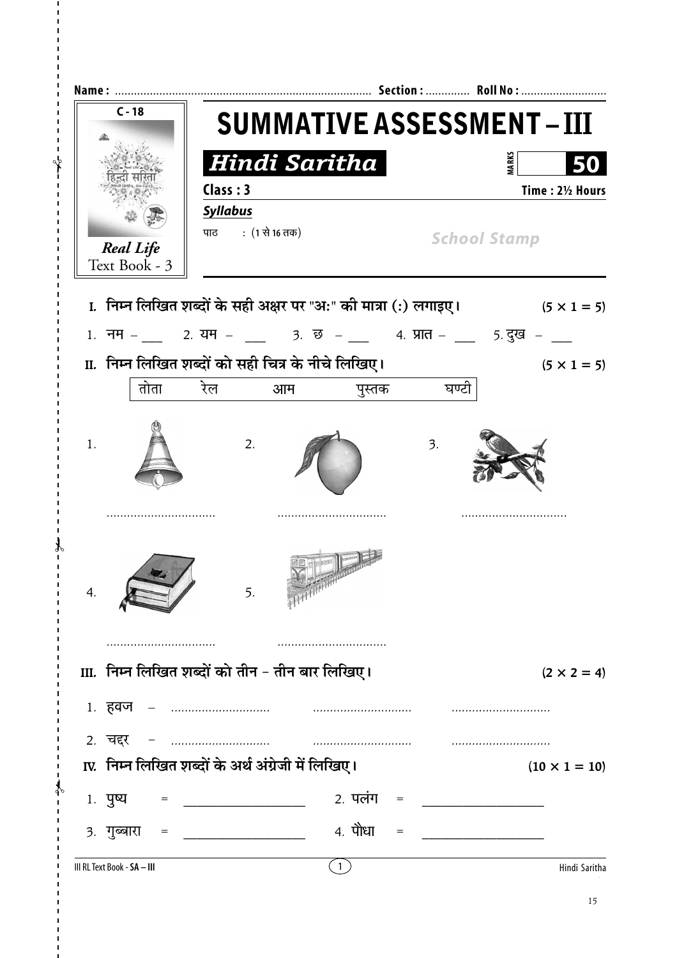